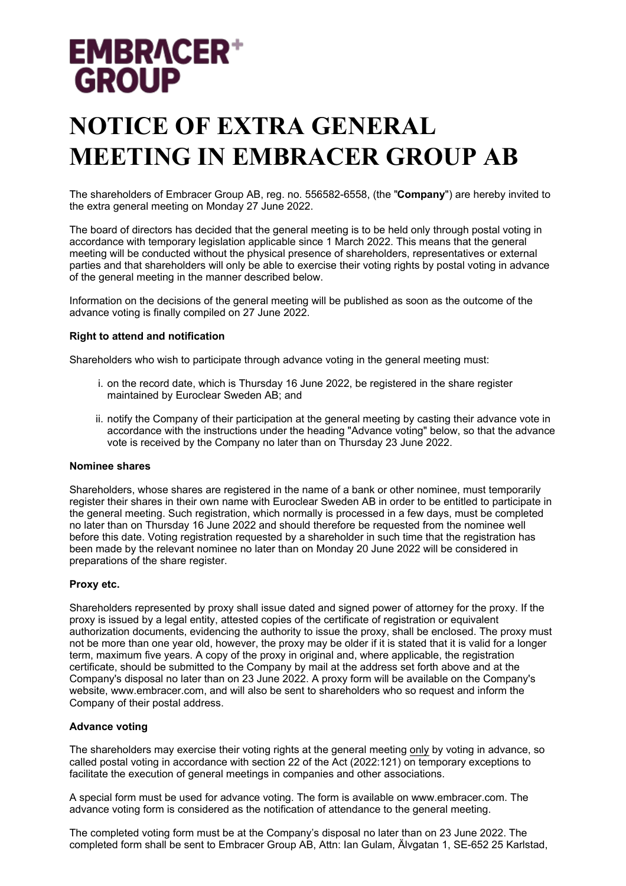# **EMBRACER+ GROUP**

# **NOTICE OF EXTRA GENERAL MEETING IN EMBRACER GROUP AB**

The shareholders of Embracer Group AB, reg. no. 556582-6558, (the "**Company**") are hereby invited to the extra general meeting on Monday 27 June 2022.

The board of directors has decided that the general meeting is to be held only through postal voting in accordance with temporary legislation applicable since 1 March 2022. This means that the general meeting will be conducted without the physical presence of shareholders, representatives or external parties and that shareholders will only be able to exercise their voting rights by postal voting in advance of the general meeting in the manner described below.

Information on the decisions of the general meeting will be published as soon as the outcome of the advance voting is finally compiled on 27 June 2022.

### **Right to attend and notification**

Shareholders who wish to participate through advance voting in the general meeting must:

- i. on the record date, which is Thursday 16 June 2022, be registered in the share register maintained by Euroclear Sweden AB; and
- ii. notify the Company of their participation at the general meeting by casting their advance vote in accordance with the instructions under the heading "Advance voting" below, so that the advance vote is received by the Company no later than on Thursday 23 June 2022.

#### **Nominee shares**

Shareholders, whose shares are registered in the name of a bank or other nominee, must temporarily register their shares in their own name with Euroclear Sweden AB in order to be entitled to participate in the general meeting. Such registration, which normally is processed in a few days, must be completed no later than on Thursday 16 June 2022 and should therefore be requested from the nominee well before this date. Voting registration requested by a shareholder in such time that the registration has been made by the relevant nominee no later than on Monday 20 June 2022 will be considered in preparations of the share register.

#### **Proxy etc.**

Shareholders represented by proxy shall issue dated and signed power of attorney for the proxy. If the proxy is issued by a legal entity, attested copies of the certificate of registration or equivalent authorization documents, evidencing the authority to issue the proxy, shall be enclosed. The proxy must not be more than one year old, however, the proxy may be older if it is stated that it is valid for a longer term, maximum five years. A copy of the proxy in original and, where applicable, the registration certificate, should be submitted to the Company by mail at the address set forth above and at the Company's disposal no later than on 23 June 2022. A proxy form will be available on the Company's website, www.embracer.com, and will also be sent to shareholders who so request and inform the Company of their postal address.

#### **Advance voting**

The shareholders may exercise their voting rights at the general meeting only by voting in advance, so called postal voting in accordance with section 22 of the Act (2022:121) on temporary exceptions to facilitate the execution of general meetings in companies and other associations.

A special form must be used for advance voting. The form is available on www.embracer.com. The advance voting form is considered as the notification of attendance to the general meeting.

The completed voting form must be at the Company's disposal no later than on 23 June 2022. The completed form shall be sent to Embracer Group AB, Attn: Ian Gulam, Älvgatan 1, SE-652 25 Karlstad,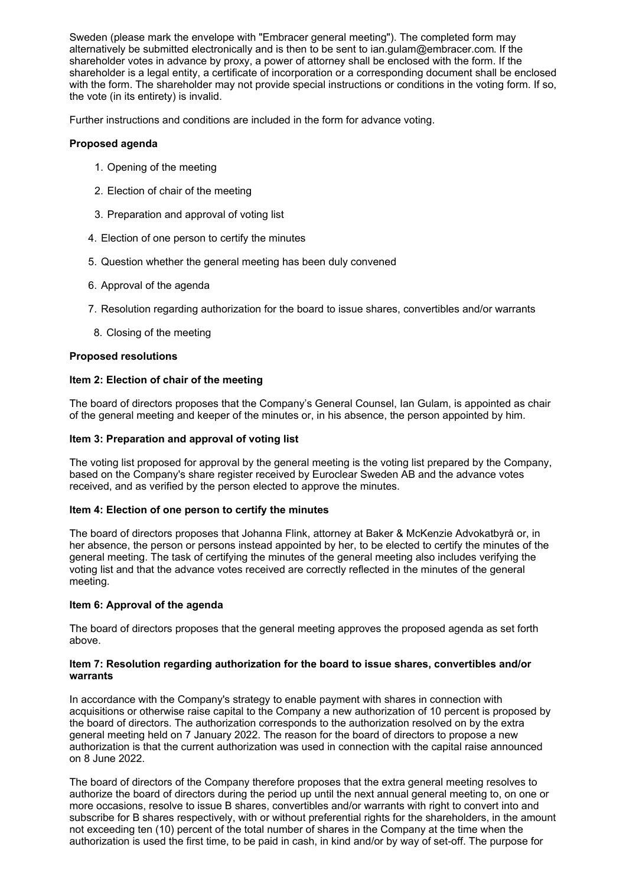Sweden (please mark the envelope with "Embracer general meeting"). The completed form may alternatively be submitted electronically and is then to be sent to ian.gulam@embracer.com. If the shareholder votes in advance by proxy, a power of attorney shall be enclosed with the form. If the shareholder is a legal entity, a certificate of incorporation or a corresponding document shall be enclosed with the form. The shareholder may not provide special instructions or conditions in the voting form. If so, the vote (in its entirety) is invalid.

Further instructions and conditions are included in the form for advance voting.

# **Proposed agenda**

- 1. Opening of the meeting
- 2. Election of chair of the meeting
- 3. Preparation and approval of voting list
- 4. Election of one person to certify the minutes
- 5. Question whether the general meeting has been duly convened
- 6. Approval of the agenda
- 7. Resolution regarding authorization for the board to issue shares, convertibles and/or warrants
- 8. Closing of the meeting

# **Proposed resolutions**

# **Item 2: Election of chair of the meeting**

The board of directors proposes that the Company's General Counsel, Ian Gulam, is appointed as chair of the general meeting and keeper of the minutes or, in his absence, the person appointed by him.

## **Item 3: Preparation and approval of voting list**

The voting list proposed for approval by the general meeting is the voting list prepared by the Company, based on the Company's share register received by Euroclear Sweden AB and the advance votes received, and as verified by the person elected to approve the minutes.

# **Item 4: Election of one person to certify the minutes**

The board of directors proposes that Johanna Flink, attorney at Baker & McKenzie Advokatbyrå or, in her absence, the person or persons instead appointed by her, to be elected to certify the minutes of the general meeting. The task of certifying the minutes of the general meeting also includes verifying the voting list and that the advance votes received are correctly reflected in the minutes of the general meeting.

# **Item 6: Approval of the agenda**

The board of directors proposes that the general meeting approves the proposed agenda as set forth above.

#### **Item 7: Resolution regarding authorization for the board to issue shares, convertibles and/or warrants**

In accordance with the Company's strategy to enable payment with shares in connection with acquisitions or otherwise raise capital to the Company a new authorization of 10 percent is proposed by the board of directors. The authorization corresponds to the authorization resolved on by the extra general meeting held on 7 January 2022. The reason for the board of directors to propose a new authorization is that the current authorization was used in connection with the capital raise announced on 8 June 2022.

The board of directors of the Company therefore proposes that the extra general meeting resolves to authorize the board of directors during the period up until the next annual general meeting to, on one or more occasions, resolve to issue B shares, convertibles and/or warrants with right to convert into and subscribe for B shares respectively, with or without preferential rights for the shareholders, in the amount not exceeding ten (10) percent of the total number of shares in the Company at the time when the authorization is used the first time, to be paid in cash, in kind and/or by way of set-off. The purpose for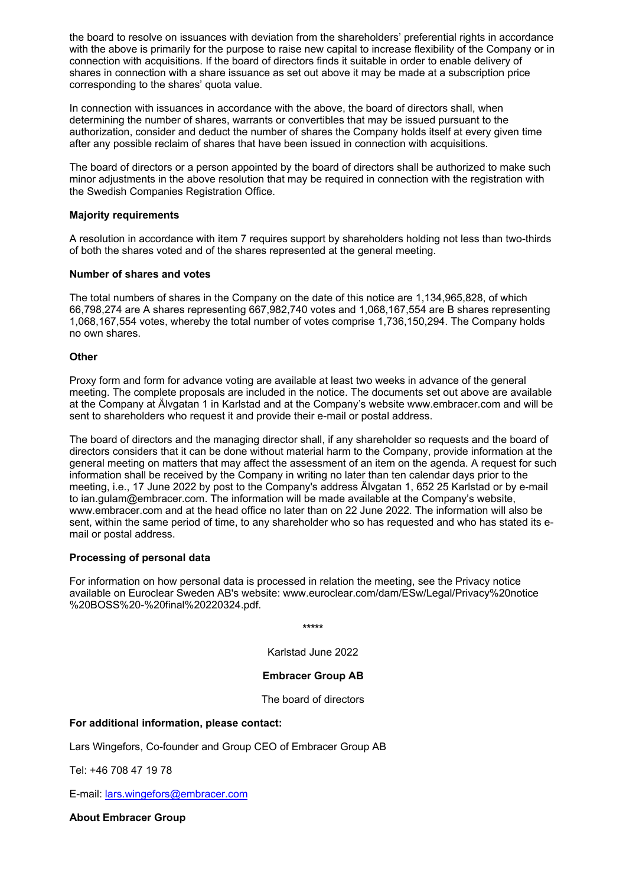the board to resolve on issuances with deviation from the shareholders' preferential rights in accordance with the above is primarily for the purpose to raise new capital to increase flexibility of the Company or in connection with acquisitions. If the board of directors finds it suitable in order to enable delivery of shares in connection with a share issuance as set out above it may be made at a subscription price corresponding to the shares' quota value.

In connection with issuances in accordance with the above, the board of directors shall, when determining the number of shares, warrants or convertibles that may be issued pursuant to the authorization, consider and deduct the number of shares the Company holds itself at every given time after any possible reclaim of shares that have been issued in connection with acquisitions.

The board of directors or a person appointed by the board of directors shall be authorized to make such minor adjustments in the above resolution that may be required in connection with the registration with the Swedish Companies Registration Office.

### **Majority requirements**

A resolution in accordance with item 7 requires support by shareholders holding not less than two-thirds of both the shares voted and of the shares represented at the general meeting.

### **Number of shares and votes**

The total numbers of shares in the Company on the date of this notice are 1,134,965,828, of which 66,798,274 are A shares representing 667,982,740 votes and 1,068,167,554 are B shares representing 1,068,167,554 votes, whereby the total number of votes comprise 1,736,150,294. The Company holds no own shares.

### **Other**

Proxy form and form for advance voting are available at least two weeks in advance of the general meeting. The complete proposals are included in the notice. The documents set out above are available at the Company at Älvgatan 1 in Karlstad and at the Company's website www.embracer.com and will be sent to shareholders who request it and provide their e-mail or postal address.

The board of directors and the managing director shall, if any shareholder so requests and the board of directors considers that it can be done without material harm to the Company, provide information at the general meeting on matters that may affect the assessment of an item on the agenda. A request for such information shall be received by the Company in writing no later than ten calendar days prior to the meeting, i.e., 17 June 2022 by post to the Company's address Älvgatan 1, 652 25 Karlstad or by e-mail to ian.gulam@embracer.com. The information will be made available at the Company's website, www.embracer.com and at the head office no later than on 22 June 2022. The information will also be sent, within the same period of time, to any shareholder who so has requested and who has stated its email or postal address.

#### **Processing of personal data**

For information on how personal data is processed in relation the meeting, see the Privacy notice available on Euroclear Sweden AB's website: www.euroclear.com/dam/ESw/Legal/Privacy%20notice %20BOSS%20-%20final%20220324.pdf.

**\*\*\*\*\***

Karlstad June 2022

# **Embracer Group AB**

The board of directors

# **For additional information, please contact:**

Lars Wingefors, Co-founder and Group CEO of Embracer Group AB

Tel: +46 708 47 19 78

E-mail: [lars.wingefors@embracer.com](mailto:lars.wingefors@embracer.com)

**About Embracer Group**